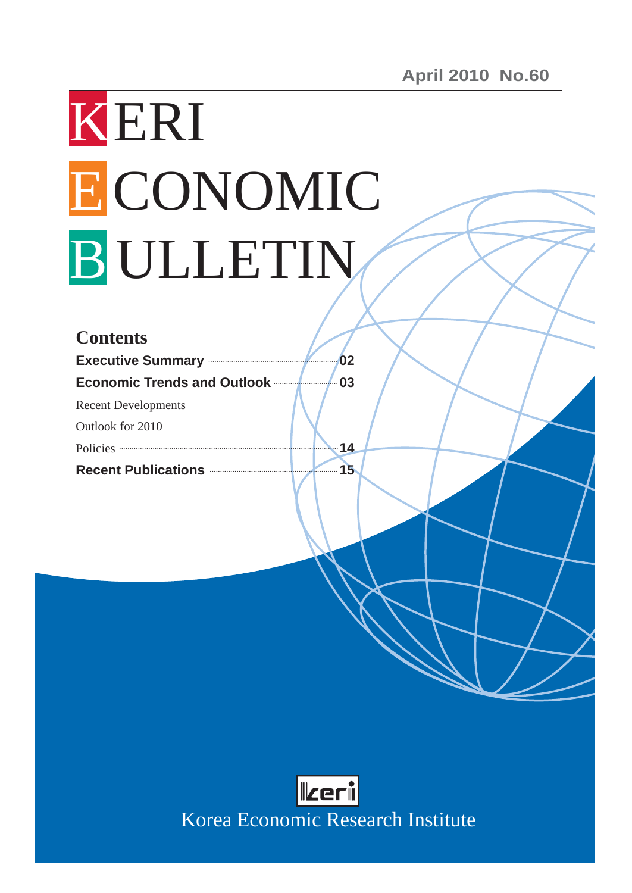# KERI ECONOMIC B ULLETIN

| <b>Contents</b>                                                                                                            |    |
|----------------------------------------------------------------------------------------------------------------------------|----|
| <b>Executive Summary Executive Summary</b>                                                                                 | 02 |
| <b>Economic Trends and Outlook manufacturers</b>                                                                           | 03 |
| <b>Recent Developments</b>                                                                                                 |    |
| Outlook for 2010                                                                                                           |    |
| Policies <b>Constitution</b> Policies <b>Constitution Constitution Constitution Constitution Constitution Constitution</b> | 14 |
| Recent Publications <b>Exercise 2018</b>                                                                                   | 15 |

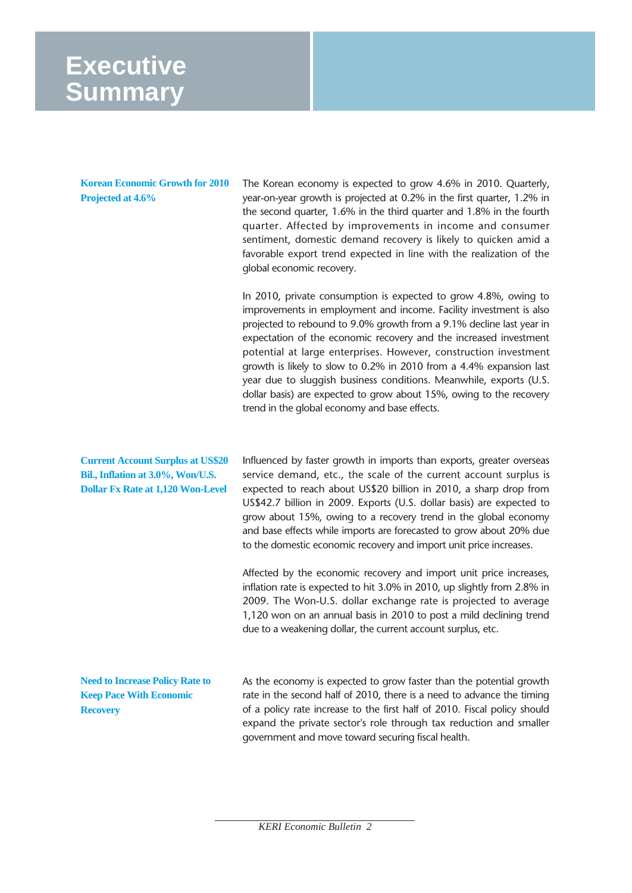# **Executive Summary**

**Korean Economic Growth for 2010 Projected at 4.6%** 

The Korean economy is expected to grow 4.6% in 2010. Quarterly, year-on-year growth is projected at 0.2% in the first quarter, 1.2% in the second quarter, 1.6% in the third quarter and 1.8% in the fourth quarter. Affected by improvements in income and consumer sentiment, domestic demand recovery is likely to quicken amid a favorable export trend expected in line with the realization of the global economic recovery.

In 2010, private consumption is expected to grow 4.8%, owing to improvements in employment and income. Facility investment is also projected to rebound to 9.0% growth from a 9.1% decline last year in expectation of the economic recovery and the increased investment potential at large enterprises. However, construction investment growth is likely to slow to 0.2% in 2010 from a 4.4% expansion last year due to sluggish business conditions. Meanwhile, exports (U.S. dollar basis) are expected to grow about 15%, owing to the recovery trend in the global economy and base effects.

**Current Account Surplus at US\$20 Bil., Inflation at 3.0%, Won/U.S. Dollar Fx Rate at 1,120 Won-Level** 

Influenced by faster growth in imports than exports, greater overseas service demand, etc., the scale of the current account surplus is expected to reach about US\$20 billion in 2010, a sharp drop from US\$42.7 billion in 2009. Exports (U.S. dollar basis) are expected to grow about 15%, owing to a recovery trend in the global economy and base effects while imports are forecasted to grow about 20% due to the domestic economic recovery and import unit price increases.

Affected by the economic recovery and import unit price increases, inflation rate is expected to hit 3.0% in 2010, up slightly from 2.8% in 2009. The Won-U.S. dollar exchange rate is projected to average 1,120 won on an annual basis in 2010 to post a mild declining trend due to a weakening dollar, the current account surplus, etc.

**Need to Increase Policy Rate to Keep Pace With Economic Recovery** 

As the economy is expected to grow faster than the potential growth rate in the second half of 2010, there is a need to advance the timing of a policy rate increase to the first half of 2010. Fiscal policy should expand the private sector's role through tax reduction and smaller government and move toward securing fiscal health.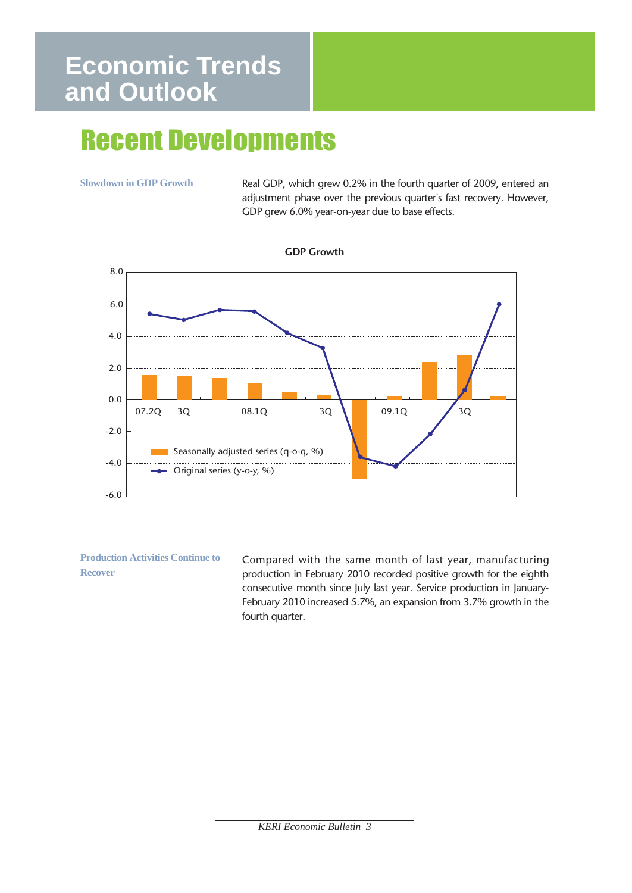# **Economic Trends and Outlook**

# Recent Developments

**Slowdown in GDP Growth**

Real GDP, which grew 0.2% in the fourth quarter of 2009, entered an adjustment phase over the previous quarter's fast recovery. However, GDP grew 6.0% year-on-year due to base effects.



**GDP Growth**

**Production Activities Continue to Recover** 

Compared with the same month of last year, manufacturing production in February 2010 recorded positive growth for the eighth consecutive month since July last year. Service production in January-February 2010 increased 5.7%, an expansion from 3.7% growth in the fourth quarter.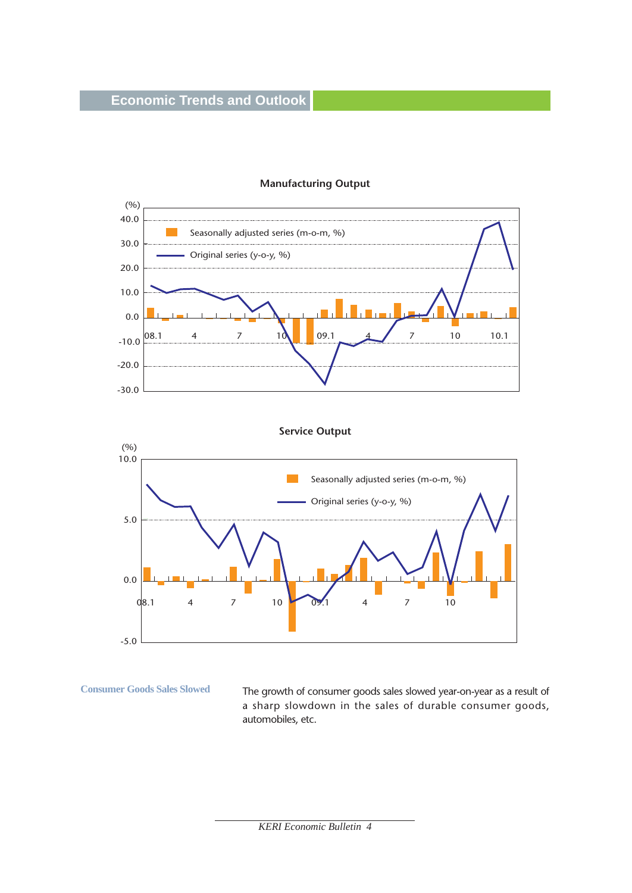

#### **Manufacturing Output**

**Consumer Goods Sales Slowed** 

The growth of consumer goods sales slowed year-on-year as a result of a sharp slowdown in the sales of durable consumer goods, automobiles, etc.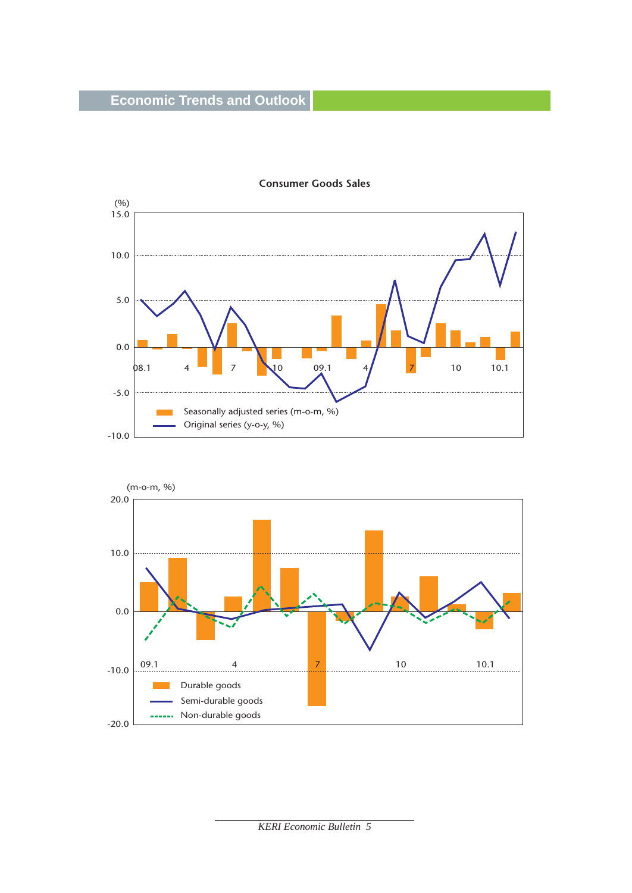

#### **Consumer Goods Sales**

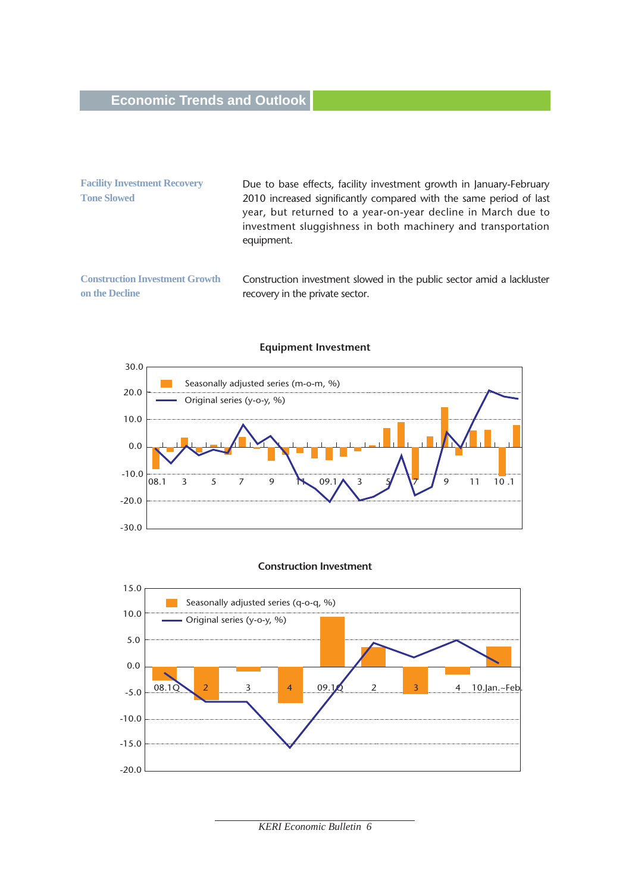# **Economic Trends and Outlook**

| <b>Facility Investment Recovery</b>                     | Due to base effects, facility investment growth in January-February                                                                                                                                              |
|---------------------------------------------------------|------------------------------------------------------------------------------------------------------------------------------------------------------------------------------------------------------------------|
| <b>Tone Slowed</b>                                      | 2010 increased significantly compared with the same period of last<br>year, but returned to a year-on-year decline in March due to<br>investment sluggishness in both machinery and transportation<br>equipment. |
| <b>Construction Investment Growth</b><br>on the Decline | Construction investment slowed in the public sector amid a lackluster<br>recovery in the private sector.                                                                                                         |



#### **Equipment Investment**

#### **Construction Investment**

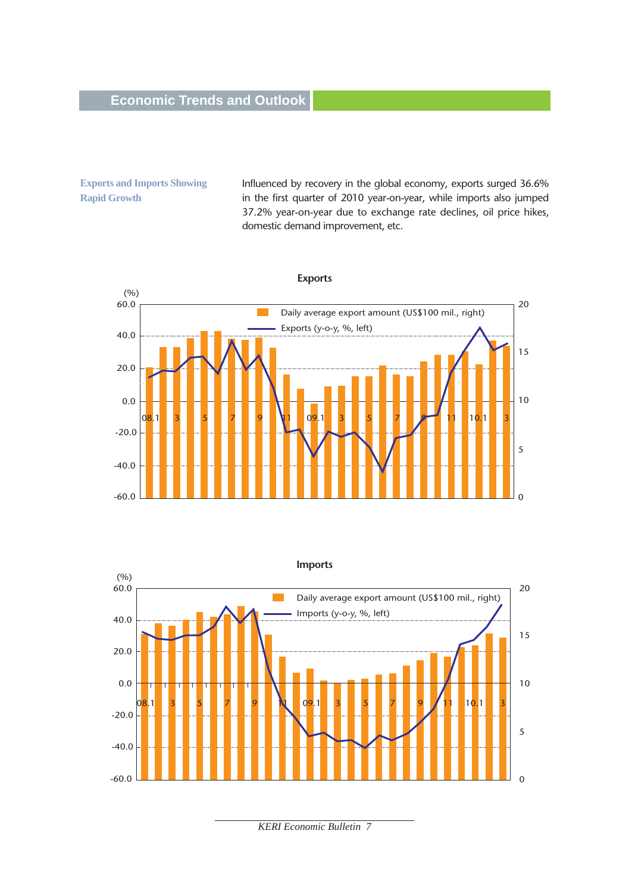**Exports and Imports Showing Rapid Growth**

Influenced by recovery in the global economy, exports surged 36.6% in the first quarter of 2010 year-on-year, while imports also jumped 37.2% year-on-year due to exchange rate declines, oil price hikes, domestic demand improvement, etc.



**Imports**  $(% )$ 60.0 20  $\mathcal{L}^{\mathcal{L}}$ Daily average export amount (US\$100 mil., right) Imports (y-o-y, %, left) 40.0 15 20.0 0.0 10 08.1 3 5 7 9 N 09.1 3 5 7 9 11 10.1 3 5 7 9 N 09.1 3 5 7 9 11 10.1 3 -20.0 5 -40.0 -60.0  $\Omega$ 

*KERI Economic Bulletin 7*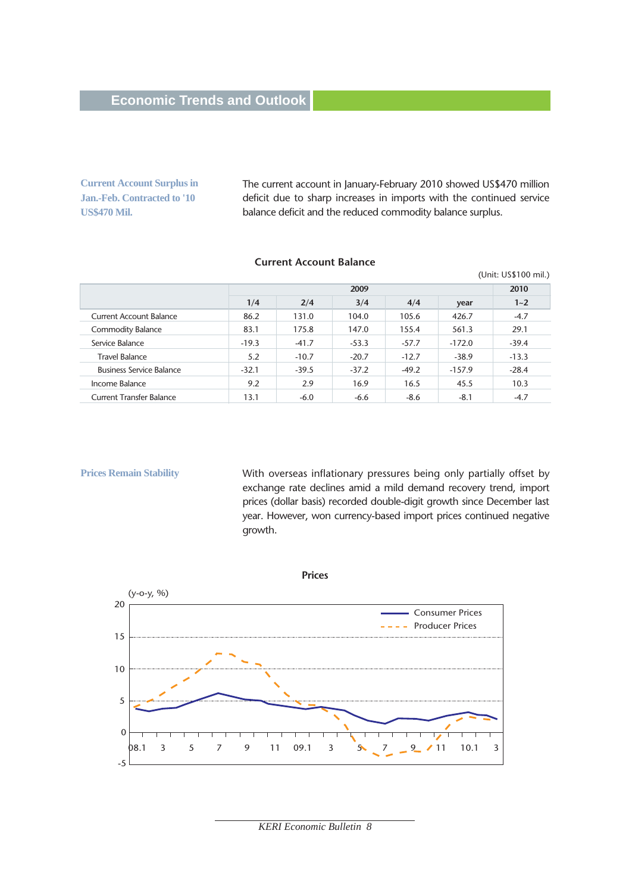**Current Account Surplus in Jan.-Feb. Contracted to '10 US\$470 Mil.**

The current account in January-February 2010 showed US\$470 million deficit due to sharp increases in imports with the continued service balance deficit and the reduced commodity balance surplus.

#### **Current Account Balance**

| (Unit: US\$100 mil.)            |         |         |         |         |          |         |
|---------------------------------|---------|---------|---------|---------|----------|---------|
|                                 |         | 2009    |         |         |          |         |
|                                 | 1/4     | 2/4     | 3/4     | 4/4     | year     | $1 - 2$ |
| Current Account Balance         | 86.2    | 131.0   | 104.0   | 105.6   | 426.7    | $-4.7$  |
| <b>Commodity Balance</b>        | 83.1    | 175.8   | 147.0   | 155.4   | 561.3    | 29.1    |
| Service Balance                 | $-19.3$ | $-41.7$ | $-53.3$ | $-57.7$ | $-172.0$ | $-39.4$ |
| <b>Travel Balance</b>           | 5.2     | $-10.7$ | $-20.7$ | $-12.7$ | $-38.9$  | $-13.3$ |
| <b>Business Service Balance</b> | $-32.1$ | $-39.5$ | $-37.2$ | $-49.2$ | $-157.9$ | $-28.4$ |
| Income Balance                  | 9.2     | 2.9     | 16.9    | 16.5    | 45.5     | 10.3    |
| <b>Current Transfer Balance</b> | 13.1    | $-6.0$  | $-6.6$  | $-8.6$  | $-8.1$   | $-4.7$  |

**Prices Remain Stability** 

With overseas inflationary pressures being only partially offset by exchange rate declines amid a mild demand recovery trend, import prices (dollar basis) recorded double-digit growth since December last year. However, won currency-based import prices continued negative growth.

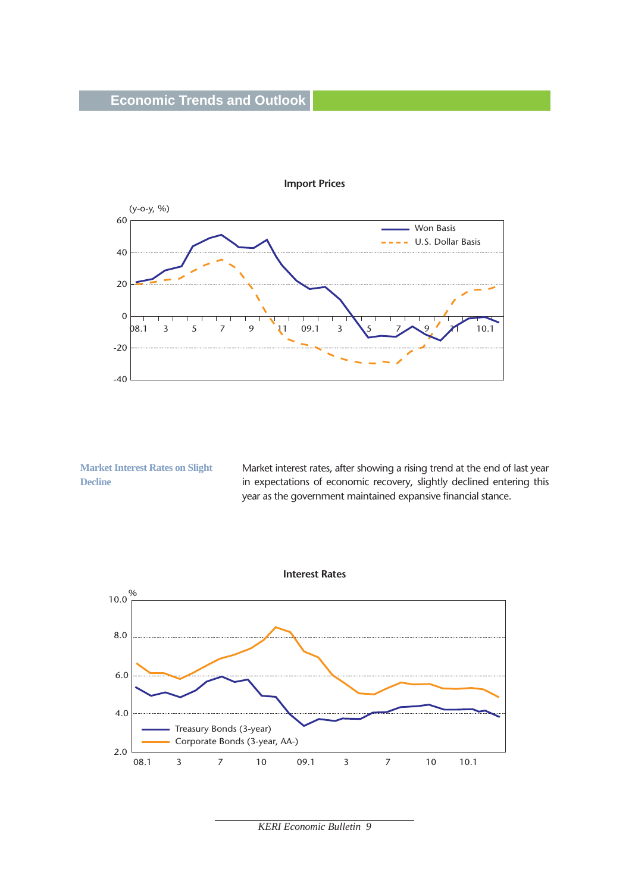# **Economic Trends and Outlook**



**Import Prices**

**Market Interest Rates on Slight Decline**

Market interest rates, after showing a rising trend at the end of last year in expectations of economic recovery, slightly declined entering this year as the government maintained expansive financial stance.

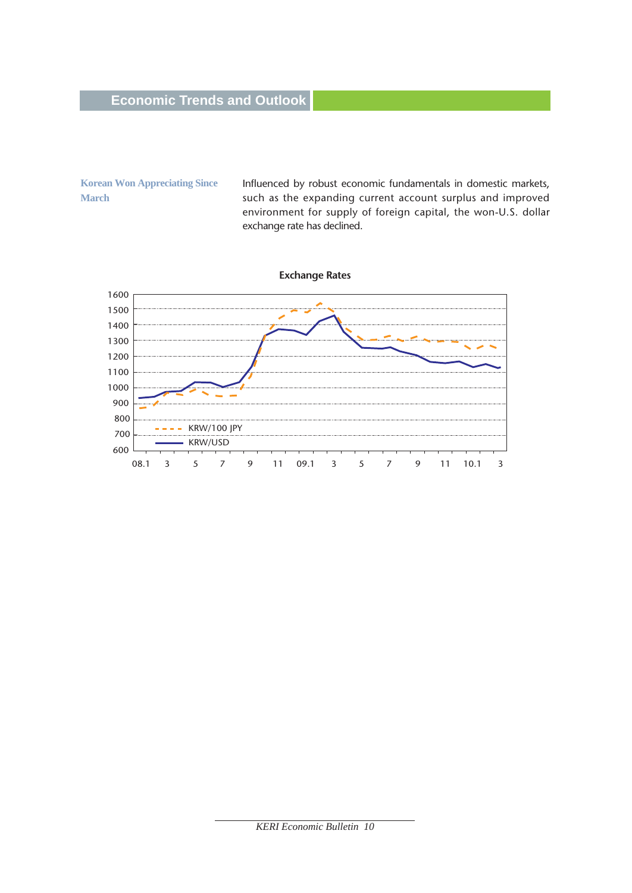**Korean Won Appreciating Since March** 

Influenced by robust economic fundamentals in domestic markets, such as the expanding current account surplus and improved environment for supply of foreign capital, the won-U.S. dollar exchange rate has declined.

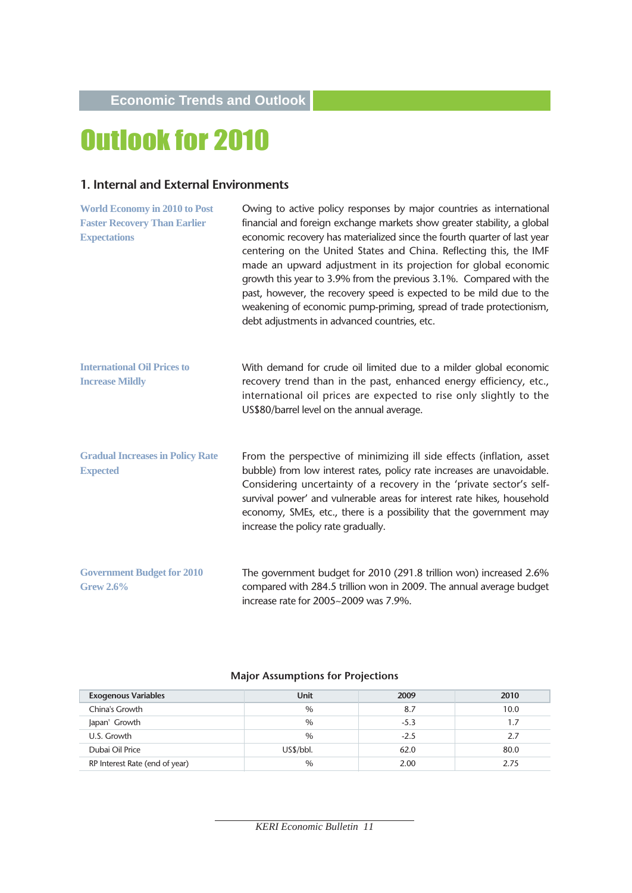# Outlook for 2010

#### **1. Internal and External Environments**

| <b>World Economy in 2010 to Post</b><br><b>Faster Recovery Than Earlier</b><br><b>Expectations</b> | Owing to active policy responses by major countries as international<br>financial and foreign exchange markets show greater stability, a global<br>economic recovery has materialized since the fourth quarter of last year<br>centering on the United States and China. Reflecting this, the IMF<br>made an upward adjustment in its projection for global economic<br>growth this year to 3.9% from the previous 3.1%. Compared with the<br>past, however, the recovery speed is expected to be mild due to the<br>weakening of economic pump-priming, spread of trade protectionism,<br>debt adjustments in advanced countries, etc. |
|----------------------------------------------------------------------------------------------------|-----------------------------------------------------------------------------------------------------------------------------------------------------------------------------------------------------------------------------------------------------------------------------------------------------------------------------------------------------------------------------------------------------------------------------------------------------------------------------------------------------------------------------------------------------------------------------------------------------------------------------------------|
| <b>International Oil Prices to</b><br><b>Increase Mildly</b>                                       | With demand for crude oil limited due to a milder global economic<br>recovery trend than in the past, enhanced energy efficiency, etc.,<br>international oil prices are expected to rise only slightly to the<br>US\$80/barrel level on the annual average.                                                                                                                                                                                                                                                                                                                                                                             |
| <b>Gradual Increases in Policy Rate</b><br><b>Expected</b>                                         | From the perspective of minimizing ill side effects (inflation, asset<br>bubble) from low interest rates, policy rate increases are unavoidable.<br>Considering uncertainty of a recovery in the 'private sector's self-<br>survival power' and vulnerable areas for interest rate hikes, household<br>economy, SMEs, etc., there is a possibility that the government may<br>increase the policy rate gradually.                                                                                                                                                                                                                       |
| <b>Government Budget for 2010</b><br><b>Grew 2.6%</b>                                              | The government budget for 2010 (291.8 trillion won) increased 2.6%<br>compared with 284.5 trillion won in 2009. The annual average budget<br>increase rate for 2005~2009 was 7.9%.                                                                                                                                                                                                                                                                                                                                                                                                                                                      |

#### **Major Assumptions for Projections**

| <b>Exogenous Variables</b>     | <b>Unit</b>   | 2009   | 2010 |
|--------------------------------|---------------|--------|------|
| China's Growth                 | $\%$          | 8.7    | 10.0 |
| Japan' Growth                  | $\%$          | $-5.3$ |      |
| U.S. Growth                    | $\%$          | $-2.5$ | 2.7  |
| Dubai Oil Price                | US\$/bb.      | 62.0   | 80.0 |
| RP Interest Rate (end of year) | $\frac{0}{0}$ | 2.00   | 2.75 |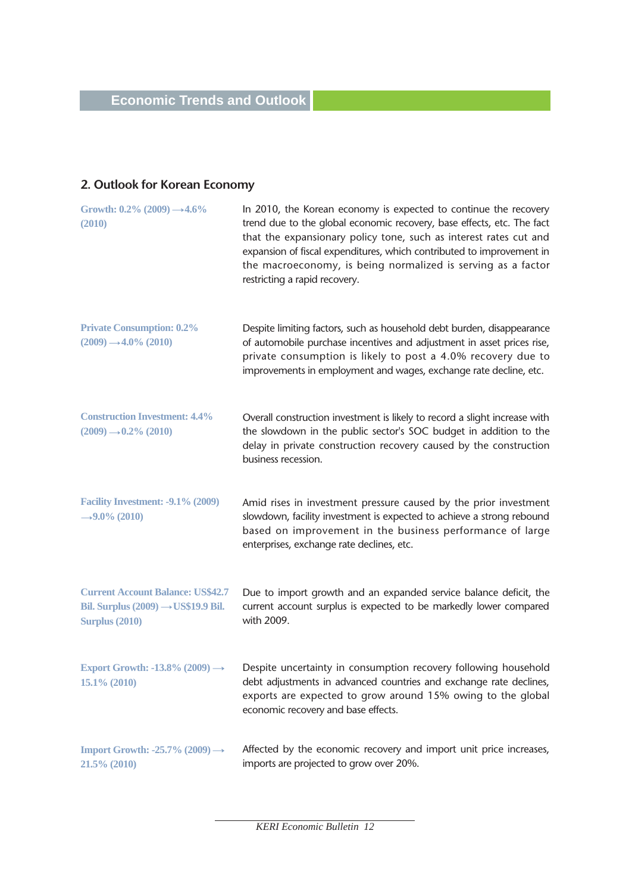# **2. Outlook for Korean Economy**

| Growth: $0.2\%$ (2009) $\rightarrow$ 4.6%<br>(2010)                                                                 | In 2010, the Korean economy is expected to continue the recovery<br>trend due to the global economic recovery, base effects, etc. The fact<br>that the expansionary policy tone, such as interest rates cut and<br>expansion of fiscal expenditures, which contributed to improvement in<br>the macroeconomy, is being normalized is serving as a factor<br>restricting a rapid recovery. |
|---------------------------------------------------------------------------------------------------------------------|-------------------------------------------------------------------------------------------------------------------------------------------------------------------------------------------------------------------------------------------------------------------------------------------------------------------------------------------------------------------------------------------|
| <b>Private Consumption: 0.2%</b><br>$(2009) \rightarrow 4.0\% (2010)$                                               | Despite limiting factors, such as household debt burden, disappearance<br>of automobile purchase incentives and adjustment in asset prices rise,<br>private consumption is likely to post a 4.0% recovery due to<br>improvements in employment and wages, exchange rate decline, etc.                                                                                                     |
| <b>Construction Investment: 4.4%</b><br>$(2009) \rightarrow 0.2\%$ (2010)                                           | Overall construction investment is likely to record a slight increase with<br>the slowdown in the public sector's SOC budget in addition to the<br>delay in private construction recovery caused by the construction<br>business recession.                                                                                                                                               |
| Facility Investment: -9.1% (2009)<br>→ 9.0% (2010)                                                                  | Amid rises in investment pressure caused by the prior investment<br>slowdown, facility investment is expected to achieve a strong rebound<br>based on improvement in the business performance of large<br>enterprises, exchange rate declines, etc.                                                                                                                                       |
| <b>Current Account Balance: US\$42.7</b><br>Bil. Surplus $(2009) \rightarrow US$19.9$ Bil.<br><b>Surplus (2010)</b> | Due to import growth and an expanded service balance deficit, the<br>current account surplus is expected to be markedly lower compared<br>with 2009.                                                                                                                                                                                                                                      |
| Export Growth: -13.8% (2009) $\rightarrow$<br>$15.1\% (2010)$                                                       | Despite uncertainty in consumption recovery following household<br>debt adjustments in advanced countries and exchange rate declines,<br>exports are expected to grow around 15% owing to the global<br>economic recovery and base effects.                                                                                                                                               |
| Import Growth: -25.7% $(2009) \rightarrow$<br>21.5% (2010)                                                          | Affected by the economic recovery and import unit price increases,<br>imports are projected to grow over 20%.                                                                                                                                                                                                                                                                             |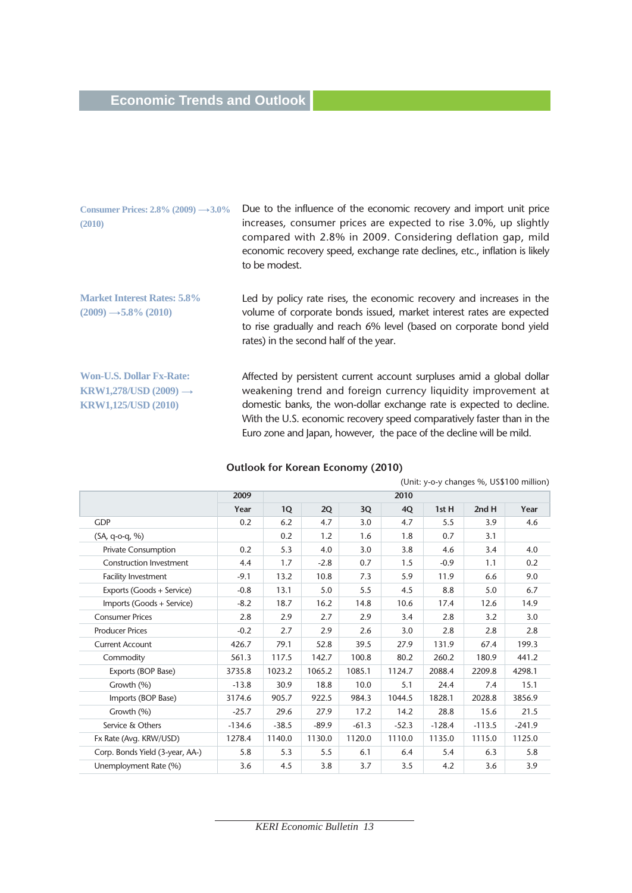# **Economic Trends and Outlook**

| Consumer Prices: $2.8\%$ (2009) $\rightarrow 3.0\%$<br>(2010)                                      | Due to the influence of the economic recovery and import unit price<br>increases, consumer prices are expected to rise 3.0%, up slightly<br>compared with 2.8% in 2009. Considering deflation gap, mild<br>economic recovery speed, exchange rate declines, etc., inflation is likely<br>to be modest.                                                          |
|----------------------------------------------------------------------------------------------------|-----------------------------------------------------------------------------------------------------------------------------------------------------------------------------------------------------------------------------------------------------------------------------------------------------------------------------------------------------------------|
| <b>Market Interest Rates: 5.8%</b><br>$(2009) \rightarrow 5.8\% (2010)$                            | Led by policy rate rises, the economic recovery and increases in the<br>volume of corporate bonds issued, market interest rates are expected<br>to rise gradually and reach 6% level (based on corporate bond yield<br>rates) in the second half of the year.                                                                                                   |
| <b>Won-U.S. Dollar Fx-Rate:</b><br>KRW1,278/USD $(2009) \rightarrow$<br><b>KRW1,125/USD (2010)</b> | Affected by persistent current account surpluses amid a global dollar<br>weakening trend and foreign currency liquidity improvement at<br>domestic banks, the won-dollar exchange rate is expected to decline.<br>With the U.S. economic recovery speed comparatively faster than in the<br>Euro zone and Japan, however, the pace of the decline will be mild. |

#### **Outlook for Korean Economy (2010)**

| (OTHER $y$ -O- $y$ Critaricies $\frac{1}{2}0$ , OS $\frac{1}{2}100$ Trimitori) |          |         |         |         |         |          |          |          |
|--------------------------------------------------------------------------------|----------|---------|---------|---------|---------|----------|----------|----------|
|                                                                                | 2009     | 2010    |         |         |         |          |          |          |
|                                                                                | Year     | 1Q      | 2Q      | 3Q      | 4Q      | 1st H    | 2ndH     | Year     |
| <b>GDP</b>                                                                     | 0.2      | 6.2     | 4.7     | 3.0     | 4.7     | 5.5      | 3.9      | 4.6      |
| $(SA, q-o-q, %)$                                                               |          | 0.2     | 1.2     | 1.6     | 1.8     | 0.7      | 3.1      |          |
| <b>Private Consumption</b>                                                     | 0.2      | 5.3     | 4.0     | 3.0     | 3.8     | 4.6      | 3.4      | 4.0      |
| <b>Construction Investment</b>                                                 | 4.4      | 1.7     | $-2.8$  | 0.7     | 1.5     | $-0.9$   | 1.1      | 0.2      |
| <b>Facility Investment</b>                                                     | $-9.1$   | 13.2    | 10.8    | 7.3     | 5.9     | 11.9     | 6.6      | 9.0      |
| Exports (Goods + Service)                                                      | $-0.8$   | 13.1    | 5.0     | 5.5     | 4.5     | 8.8      | 5.0      | 6.7      |
| Imports (Goods + Service)                                                      | $-8.2$   | 18.7    | 16.2    | 14.8    | 10.6    | 17.4     | 12.6     | 14.9     |
| <b>Consumer Prices</b>                                                         | 2.8      | 2.9     | 2.7     | 2.9     | 3.4     | 2.8      | 3.2      | 3.0      |
| <b>Producer Prices</b>                                                         | $-0.2$   | 2.7     | 2.9     | 2.6     | 3.0     | 2.8      | 2.8      | 2.8      |
| <b>Current Account</b>                                                         | 426.7    | 79.1    | 52.8    | 39.5    | 27.9    | 131.9    | 67.4     | 199.3    |
| Commodity                                                                      | 561.3    | 117.5   | 142.7   | 100.8   | 80.2    | 260.2    | 180.9    | 441.2    |
| Exports (BOP Base)                                                             | 3735.8   | 1023.2  | 1065.2  | 1085.1  | 1124.7  | 2088.4   | 2209.8   | 4298.1   |
| Growth (%)                                                                     | $-13.8$  | 30.9    | 18.8    | 10.0    | 5.1     | 24.4     | 7.4      | 15.1     |
| Imports (BOP Base)                                                             | 3174.6   | 905.7   | 922.5   | 984.3   | 1044.5  | 1828.1   | 2028.8   | 3856.9   |
| Growth (%)                                                                     | $-25.7$  | 29.6    | 27.9    | 17.2    | 14.2    | 28.8     | 15.6     | 21.5     |
| Service & Others                                                               | $-134.6$ | $-38.5$ | $-89.9$ | $-61.3$ | $-52.3$ | $-128.4$ | $-113.5$ | $-241.9$ |
| Fx Rate (Avg. KRW/USD)                                                         | 1278.4   | 1140.0  | 1130.0  | 1120.0  | 1110.0  | 1135.0   | 1115.0   | 1125.0   |
| Corp. Bonds Yield (3-year, AA-)                                                | 5.8      | 5.3     | 5.5     | 6.1     | 6.4     | 5.4      | 6.3      | 5.8      |
| Unemployment Rate (%)                                                          | 3.6      | 4.5     | 3.8     | 3.7     | 3.5     | 4.2      | 3.6      | 3.9      |

(Unit: y-o-y changes %, US\$100 million)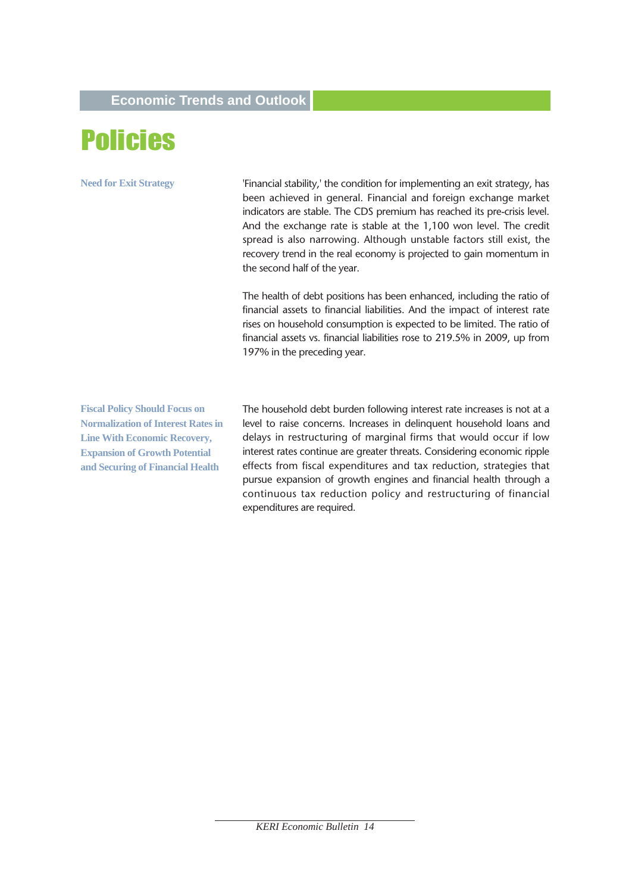# Policies

**Need for Exit Strategy**

'Financial stability,' the condition for implementing an exit strategy, has been achieved in general. Financial and foreign exchange market indicators are stable. The CDS premium has reached its pre-crisis level. And the exchange rate is stable at the 1,100 won level. The credit spread is also narrowing. Although unstable factors still exist, the recovery trend in the real economy is projected to gain momentum in the second half of the year.

The health of debt positions has been enhanced, including the ratio of financial assets to financial liabilities. And the impact of interest rate rises on household consumption is expected to be limited. The ratio of financial assets vs. financial liabilities rose to 219.5% in 2009, up from 197% in the preceding year.

**Fiscal Policy Should Focus on Normalization of Interest Rates in Line With Economic Recovery, Expansion of Growth Potential and Securing of Financial Health** 

The household debt burden following interest rate increases is not at a level to raise concerns. Increases in delinquent household loans and delays in restructuring of marginal firms that would occur if low interest rates continue are greater threats. Considering economic ripple effects from fiscal expenditures and tax reduction, strategies that pursue expansion of growth engines and financial health through a continuous tax reduction policy and restructuring of financial expenditures are required.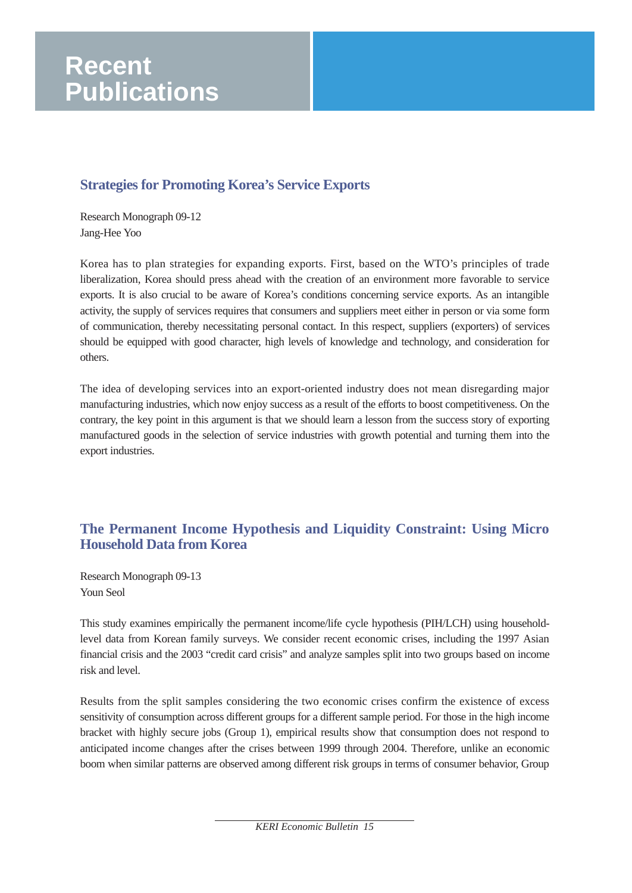# **Strategies for Promoting Korea's Service Exports**

Research Monograph 09-12 Jang-Hee Yoo

Korea has to plan strategies for expanding exports. First, based on the WTO's principles of trade liberalization, Korea should press ahead with the creation of an environment more favorable to service exports. It is also crucial to be aware of Korea's conditions concerning service exports. As an intangible activity, the supply of services requires that consumers and suppliers meet either in person or via some form of communication, thereby necessitating personal contact. In this respect, suppliers (exporters) of services should be equipped with good character, high levels of knowledge and technology, and consideration for others.

The idea of developing services into an export-oriented industry does not mean disregarding major manufacturing industries, which now enjoy success as a result of the efforts to boost competitiveness. On the contrary, the key point in this argument is that we should learn a lesson from the success story of exporting manufactured goods in the selection of service industries with growth potential and turning them into the export industries.

# **The Permanent Income Hypothesis and Liquidity Constraint: Using Micro Household Data from Korea**

Research Monograph 09-13 Youn Seol

This study examines empirically the permanent income/life cycle hypothesis (PIH/LCH) using householdlevel data from Korean family surveys. We consider recent economic crises, including the 1997 Asian financial crisis and the 2003 "credit card crisis" and analyze samples split into two groups based on income risk and level.

Results from the split samples considering the two economic crises confirm the existence of excess sensitivity of consumption across different groups for a different sample period. For those in the high income bracket with highly secure jobs (Group 1), empirical results show that consumption does not respond to anticipated income changes after the crises between 1999 through 2004. Therefore, unlike an economic boom when similar patterns are observed among different risk groups in terms of consumer behavior, Group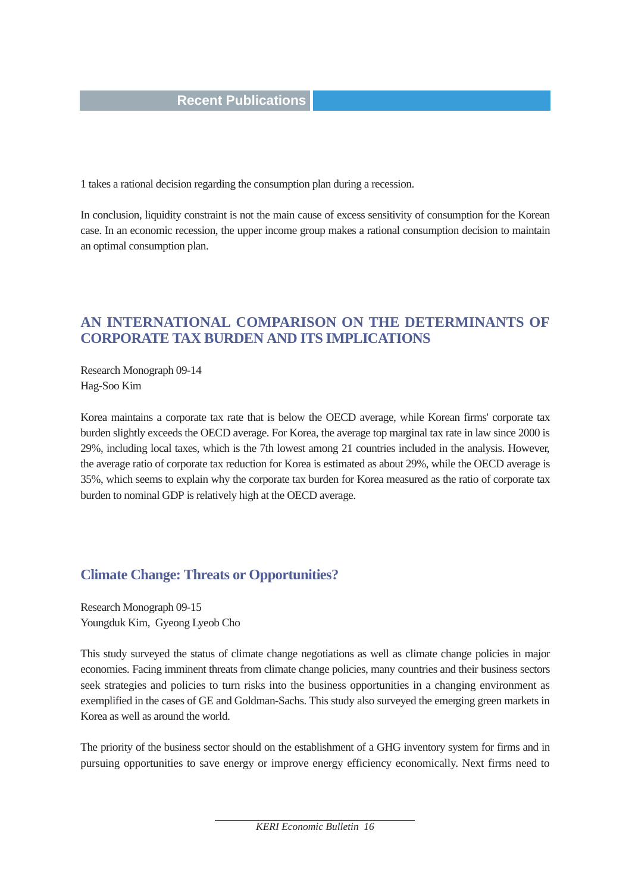1 takes a rational decision regarding the consumption plan during a recession.

In conclusion, liquidity constraint is not the main cause of excess sensitivity of consumption for the Korean case. In an economic recession, the upper income group makes a rational consumption decision to maintain an optimal consumption plan.

## **AN INTERNATIONAL COMPARISON ON THE DETERMINANTS OF CORPORATE TAX BURDEN AND ITS IMPLICATIONS**

Research Monograph 09-14 Hag-Soo Kim

Korea maintains a corporate tax rate that is below the OECD average, while Korean firms' corporate tax burden slightly exceeds the OECD average. For Korea, the average top marginal tax rate in law since 2000 is 29%, including local taxes, which is the 7th lowest among 21 countries included in the analysis. However, the average ratio of corporate tax reduction for Korea is estimated as about 29%, while the OECD average is 35%, which seems to explain why the corporate tax burden for Korea measured as the ratio of corporate tax burden to nominal GDP is relatively high at the OECD average.

# **Climate Change: Threats or Opportunities?**

Research Monograph 09-15 Youngduk Kim, Gyeong Lyeob Cho

This study surveyed the status of climate change negotiations as well as climate change policies in major economies. Facing imminent threats from climate change policies, many countries and their business sectors seek strategies and policies to turn risks into the business opportunities in a changing environment as exemplified in the cases of GE and Goldman-Sachs. This study also surveyed the emerging green markets in Korea as well as around the world.

The priority of the business sector should on the establishment of a GHG inventory system for firms and in pursuing opportunities to save energy or improve energy efficiency economically. Next firms need to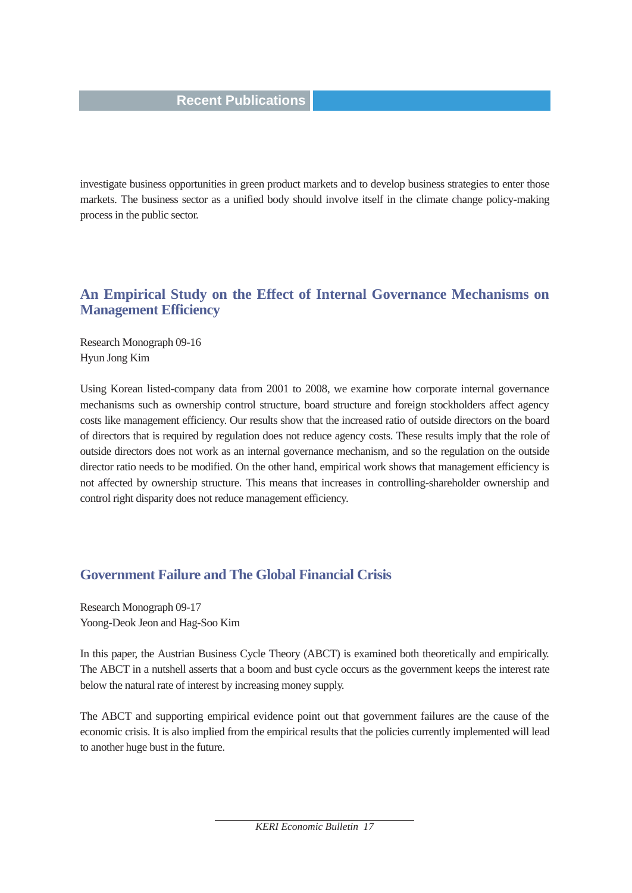investigate business opportunities in green product markets and to develop business strategies to enter those markets. The business sector as a unified body should involve itself in the climate change policy-making process in the public sector.

#### **An Empirical Study on the Effect of Internal Governance Mechanisms on Management Efficiency**

Research Monograph 09-16 Hyun Jong Kim

Using Korean listed-company data from 2001 to 2008, we examine how corporate internal governance mechanisms such as ownership control structure, board structure and foreign stockholders affect agency costs like management efficiency. Our results show that the increased ratio of outside directors on the board of directors that is required by regulation does not reduce agency costs. These results imply that the role of outside directors does not work as an internal governance mechanism, and so the regulation on the outside director ratio needs to be modified. On the other hand, empirical work shows that management efficiency is not affected by ownership structure. This means that increases in controlling-shareholder ownership and control right disparity does not reduce management efficiency.

## **Government Failure and The Global Financial Crisis**

Research Monograph 09-17 Yoong-Deok Jeon and Hag-Soo Kim

In this paper, the Austrian Business Cycle Theory (ABCT) is examined both theoretically and empirically. The ABCT in a nutshell asserts that a boom and bust cycle occurs as the government keeps the interest rate below the natural rate of interest by increasing money supply.

The ABCT and supporting empirical evidence point out that government failures are the cause of the economic crisis. It is also implied from the empirical results that the policies currently implemented will lead to another huge bust in the future.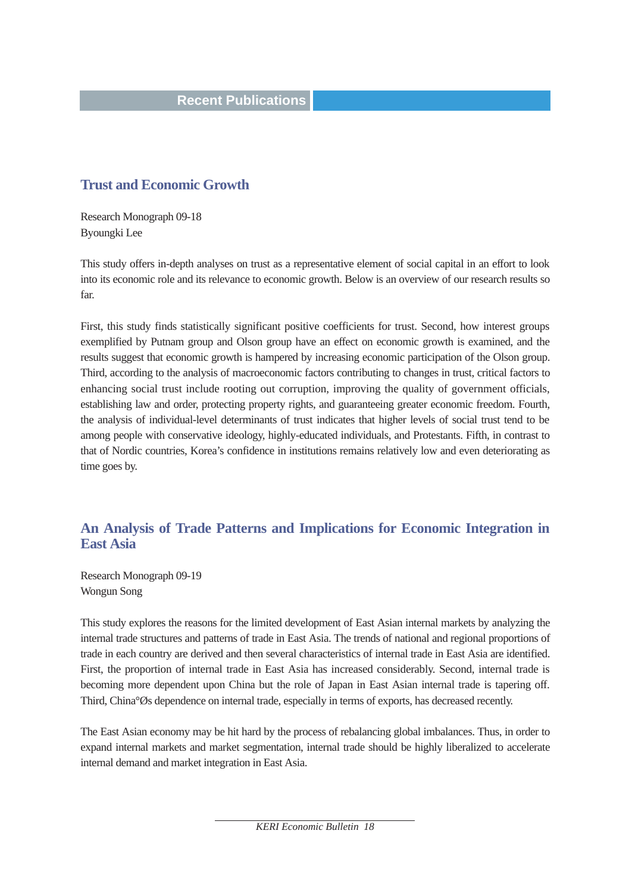#### **Trust and Economic Growth**

Research Monograph 09-18 Byoungki Lee

This study offers in-depth analyses on trust as a representative element of social capital in an effort to look into its economic role and its relevance to economic growth. Below is an overview of our research results so far.

First, this study finds statistically significant positive coefficients for trust. Second, how interest groups exemplified by Putnam group and Olson group have an effect on economic growth is examined, and the results suggest that economic growth is hampered by increasing economic participation of the Olson group. Third, according to the analysis of macroeconomic factors contributing to changes in trust, critical factors to enhancing social trust include rooting out corruption, improving the quality of government officials, establishing law and order, protecting property rights, and guaranteeing greater economic freedom. Fourth, the analysis of individual-level determinants of trust indicates that higher levels of social trust tend to be among people with conservative ideology, highly-educated individuals, and Protestants. Fifth, in contrast to that of Nordic countries, Korea's confidence in institutions remains relatively low and even deteriorating as time goes by.

## **An Analysis of Trade Patterns and Implications for Economic Integration in East Asia**

Research Monograph 09-19 Wongun Song

This study explores the reasons for the limited development of East Asian internal markets by analyzing the internal trade structures and patterns of trade in East Asia. The trends of national and regional proportions of trade in each country are derived and then several characteristics of internal trade in East Asia are identified. First, the proportion of internal trade in East Asia has increased considerably. Second, internal trade is becoming more dependent upon China but the role of Japan in East Asian internal trade is tapering off. Third, China°Øs dependence on internal trade, especially in terms of exports, has decreased recently.

The East Asian economy may be hit hard by the process of rebalancing global imbalances. Thus, in order to expand internal markets and market segmentation, internal trade should be highly liberalized to accelerate internal demand and market integration in East Asia.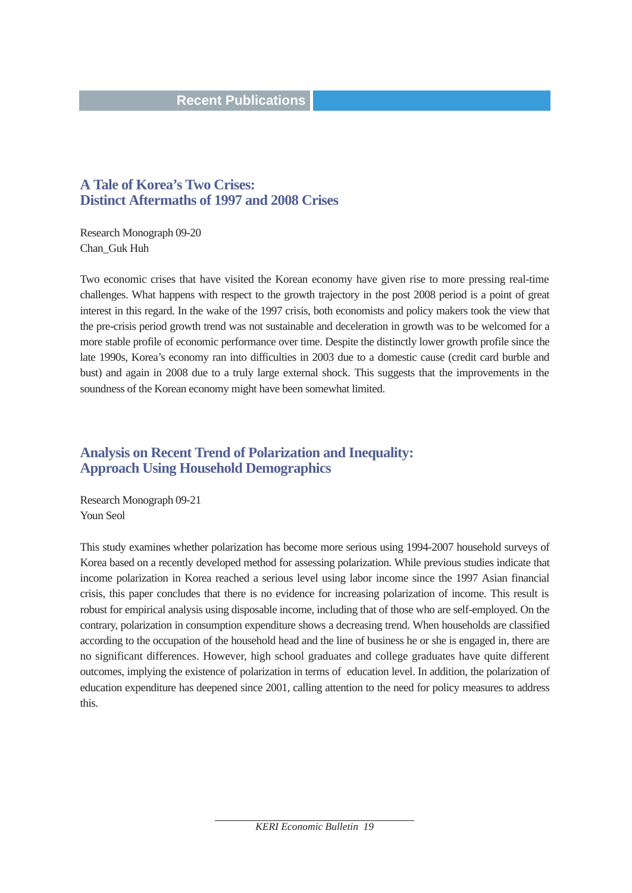#### **A Tale of Korea's Two Crises: Distinct Aftermaths of 1997 and 2008 Crises**

Research Monograph 09-20 Chan\_Guk Huh

Two economic crises that have visited the Korean economy have given rise to more pressing real-time challenges. What happens with respect to the growth trajectory in the post 2008 period is a point of great interest in this regard. In the wake of the 1997 crisis, both economists and policy makers took the view that the pre-crisis period growth trend was not sustainable and deceleration in growth was to be welcomed for a more stable profile of economic performance over time. Despite the distinctly lower growth profile since the late 1990s, Korea's economy ran into difficulties in 2003 due to a domestic cause (credit card burble and bust) and again in 2008 due to a truly large external shock. This suggests that the improvements in the soundness of the Korean economy might have been somewhat limited.

# **Analysis on Recent Trend of Polarization and Inequality: Approach Using Household Demographics**

Research Monograph 09-21 Youn Seol

This study examines whether polarization has become more serious using 1994-2007 household surveys of Korea based on a recently developed method for assessing polarization. While previous studies indicate that income polarization in Korea reached a serious level using labor income since the 1997 Asian financial crisis, this paper concludes that there is no evidence for increasing polarization of income. This result is robust for empirical analysis using disposable income, including that of those who are self-employed. On the contrary, polarization in consumption expenditure shows a decreasing trend. When households are classified according to the occupation of the household head and the line of business he or she is engaged in, there are no significant differences. However, high school graduates and college graduates have quite different outcomes, implying the existence of polarization in terms of education level. In addition, the polarization of education expenditure has deepened since 2001, calling attention to the need for policy measures to address this.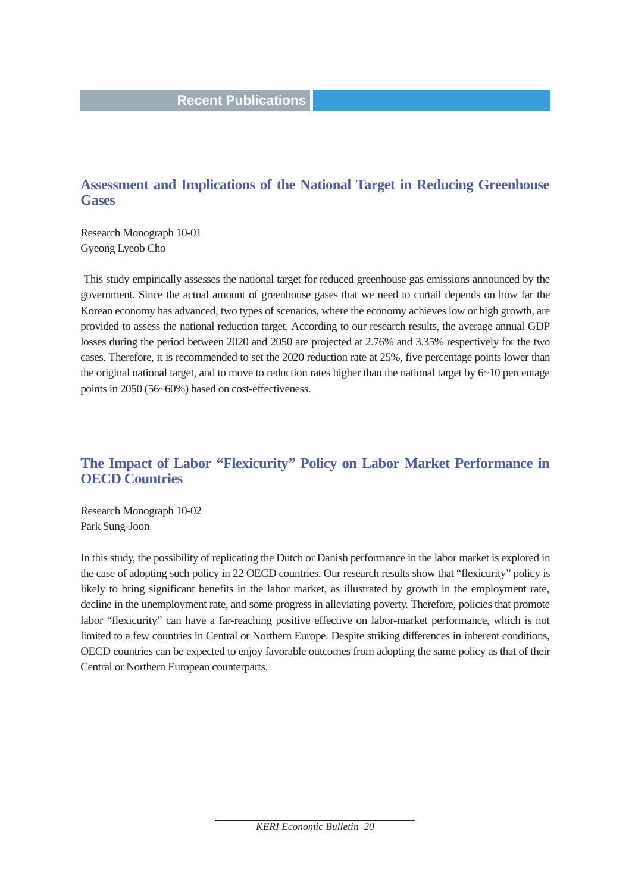## **Assessment and Implications of the National Target in Reducing Greenhouse Gases**

Research Monograph 10-01 Gyeong Lyeob Cho

This study empirically assesses the national target for reduced greenhouse gas emissions announced by the government. Since the actual amount of greenhouse gases that we need to curtail depends on how far the Korean economy has advanced, two types of scenarios, where the economy achieves low or high growth, are provided to assess the national reduction target. According to our research results, the average annual GDP losses during the period between 2020 and 2050 are projected at 2.76% and 3.35% respectively for the two cases. Therefore, it is recommended to set the 2020 reduction rate at 25%, five percentage points lower than the original national target, and to move to reduction rates higher than the national target by  $6\neg 10$  percentage points in 2050 (56~60%) based on cost-effectiveness.

# **The Impact of Labor "Flexicurity" Policy on Labor Market Performance in OECD Countries**

Research Monograph 10-02 Park Sung-Joon

In this study, the possibility of replicating the Dutch or Danish performance in the labor market is explored in the case of adopting such policy in 22 OECD countries. Our research results show that "flexicurity" policy is likely to bring significant benefits in the labor market, as illustrated by growth in the employment rate, decline in the unemployment rate, and some progress in alleviating poverty. Therefore, policies that promote labor "flexicurity" can have a far-reaching positive effective on labor-market performance, which is not limited to a few countries in Central or Northern Europe. Despite striking differences in inherent conditions, OECD countries can be expected to enjoy favorable outcomes from adopting the same policy as that of their Central or Northern European counterparts.